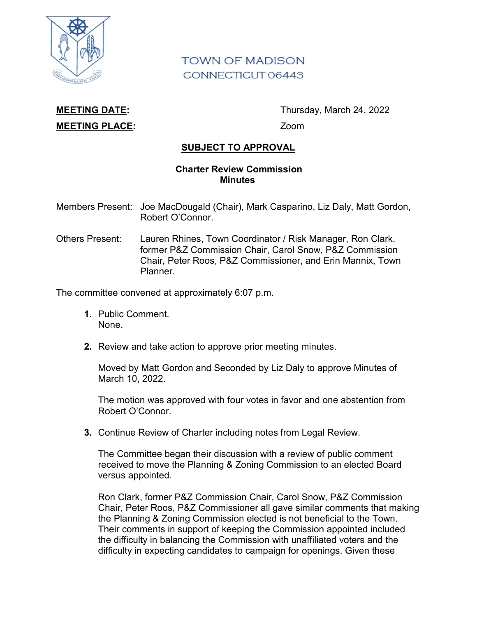

## **TOWN OF MADISON** CONNECTICUT 06443

## **MEETING PLACE:** Zoom

**MEETING DATE:** Thursday, March 24, 2022

## **SUBJECT TO APPROVAL**

## **Charter Review Commission Minutes**

- Members Present: Joe MacDougald (Chair), Mark Casparino, Liz Daly, Matt Gordon, Robert O'Connor.
- Others Present: Lauren Rhines, Town Coordinator / Risk Manager, Ron Clark, former P&Z Commission Chair, Carol Snow, P&Z Commission Chair, Peter Roos, P&Z Commissioner, and Erin Mannix, Town Planner.

The committee convened at approximately 6:07 p.m.

- **1.** Public Comment. None.
- **2.** Review and take action to approve prior meeting minutes.

Moved by Matt Gordon and Seconded by Liz Daly to approve Minutes of March 10, 2022.

The motion was approved with four votes in favor and one abstention from Robert O'Connor.

**3.** Continue Review of Charter including notes from Legal Review.

The Committee began their discussion with a review of public comment received to move the Planning & Zoning Commission to an elected Board versus appointed.

Ron Clark, former P&Z Commission Chair, Carol Snow, P&Z Commission Chair, Peter Roos, P&Z Commissioner all gave similar comments that making the Planning & Zoning Commission elected is not beneficial to the Town. Their comments in support of keeping the Commission appointed included the difficulty in balancing the Commission with unaffiliated voters and the difficulty in expecting candidates to campaign for openings. Given these